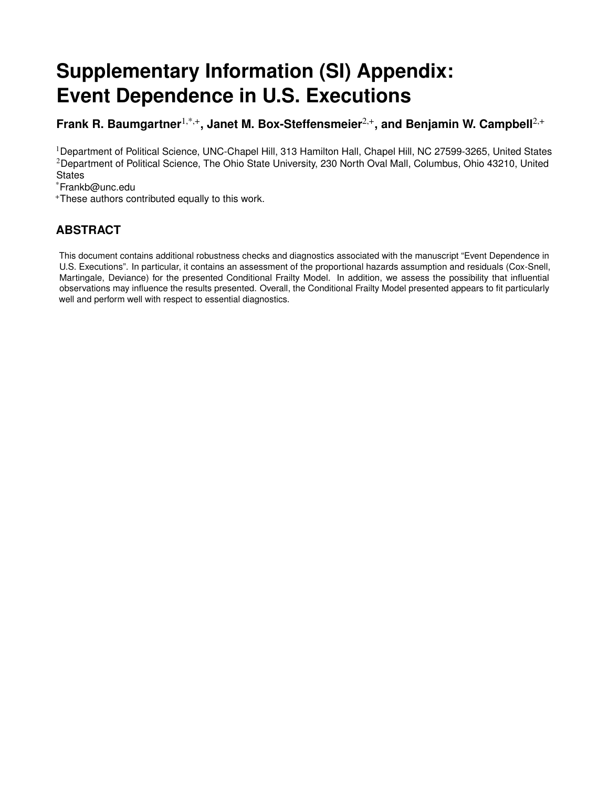# **Supplementary Information (SI) Appendix: Event Dependence in U.S. Executions**

## **Frank R. Baumgartner**1,\*,+**, Janet M. Box-Steffensmeier**2,+**, and Benjamin W. Campbell**2,+

<sup>1</sup>Department of Political Science, UNC-Chapel Hill, 313 Hamilton Hall, Chapel Hill, NC 27599-3265, United States <sup>2</sup>Department of Political Science, The Ohio State University, 230 North Oval Mall, Columbus, Ohio 43210, United **States** 

\*Frankb@unc.edu

<sup>+</sup>These authors contributed equally to this work.

### **ABSTRACT**

This document contains additional robustness checks and diagnostics associated with the manuscript "Event Dependence in U.S. Executions". In particular, it contains an assessment of the proportional hazards assumption and residuals (Cox-Snell, Martingale, Deviance) for the presented Conditional Frailty Model. In addition, we assess the possibility that influential observations may influence the results presented. Overall, the Conditional Frailty Model presented appears to fit particularly well and perform well with respect to essential diagnostics.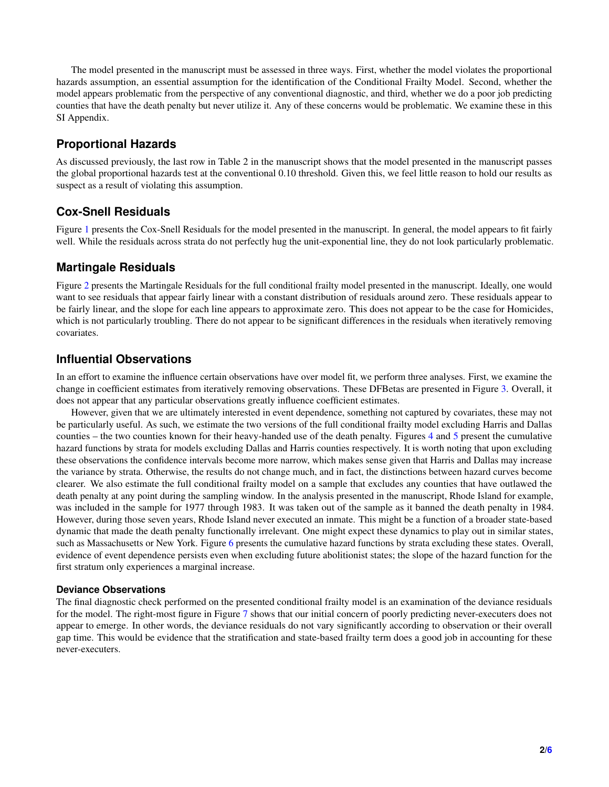The model presented in the manuscript must be assessed in three ways. First, whether the model violates the proportional hazards assumption, an essential assumption for the identification of the Conditional Frailty Model. Second, whether the model appears problematic from the perspective of any conventional diagnostic, and third, whether we do a poor job predicting counties that have the death penalty but never utilize it. Any of these concerns would be problematic. We examine these in this SI Appendix.

#### **Proportional Hazards**

As discussed previously, the last row in Table 2 in the manuscript shows that the model presented in the manuscript passes the global proportional hazards test at the conventional 0.10 threshold. Given this, we feel little reason to hold our results as suspect as a result of violating this assumption.

#### **Cox-Snell Residuals**

Figure [1](#page-2-0) presents the Cox-Snell Residuals for the model presented in the manuscript. In general, the model appears to fit fairly well. While the residuals across strata do not perfectly hug the unit-exponential line, they do not look particularly problematic.

#### **Martingale Residuals**

Figure [2](#page-2-1) presents the Martingale Residuals for the full conditional frailty model presented in the manuscript. Ideally, one would want to see residuals that appear fairly linear with a constant distribution of residuals around zero. These residuals appear to be fairly linear, and the slope for each line appears to approximate zero. This does not appear to be the case for Homicides, which is not particularly troubling. There do not appear to be significant differences in the residuals when iteratively removing covariates.

#### **Influential Observations**

In an effort to examine the influence certain observations have over model fit, we perform three analyses. First, we examine the change in coefficient estimates from iteratively removing observations. These DFBetas are presented in Figure [3.](#page-3-0) Overall, it does not appear that any particular observations greatly influence coefficient estimates.

However, given that we are ultimately interested in event dependence, something not captured by covariates, these may not be particularly useful. As such, we estimate the two versions of the full conditional frailty model excluding Harris and Dallas counties – the two counties known for their heavy-handed use of the death penalty. Figures [4](#page-3-1) and [5](#page-4-0) present the cumulative hazard functions by strata for models excluding Dallas and Harris counties respectively. It is worth noting that upon excluding these observations the confidence intervals become more narrow, which makes sense given that Harris and Dallas may increase the variance by strata. Otherwise, the results do not change much, and in fact, the distinctions between hazard curves become clearer. We also estimate the full conditional frailty model on a sample that excludes any counties that have outlawed the death penalty at any point during the sampling window. In the analysis presented in the manuscript, Rhode Island for example, was included in the sample for 1977 through 1983. It was taken out of the sample as it banned the death penalty in 1984. However, during those seven years, Rhode Island never executed an inmate. This might be a function of a broader state-based dynamic that made the death penalty functionally irrelevant. One might expect these dynamics to play out in similar states, such as Massachusetts or New York. Figure [6](#page-4-1) presents the cumulative hazard functions by strata excluding these states. Overall, evidence of event dependence persists even when excluding future abolitionist states; the slope of the hazard function for the first stratum only experiences a marginal increase.

#### **Deviance Observations**

The final diagnostic check performed on the presented conditional frailty model is an examination of the deviance residuals for the model. The right-most figure in Figure [7](#page-5-0) shows that our initial concern of poorly predicting never-executers does not appear to emerge. In other words, the deviance residuals do not vary significantly according to observation or their overall gap time. This would be evidence that the stratification and state-based frailty term does a good job in accounting for these never-executers.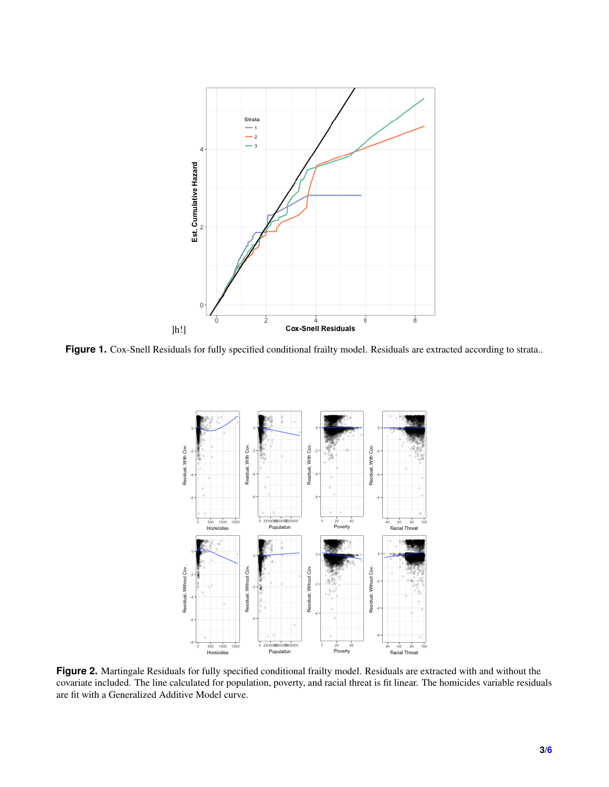<span id="page-2-0"></span>

<span id="page-2-1"></span>Figure 1. Cox-Snell Residuals for fully specified conditional frailty model. Residuals are extracted according to strata..



**Figure 2.** Martingale Residuals for fully specified conditional frailty model. Residuals are extracted with and without the covariate included. The line calculated for population, poverty, and racial threat is fit linear. The homicides variable residuals are fit with a Generalized Additive Model curve.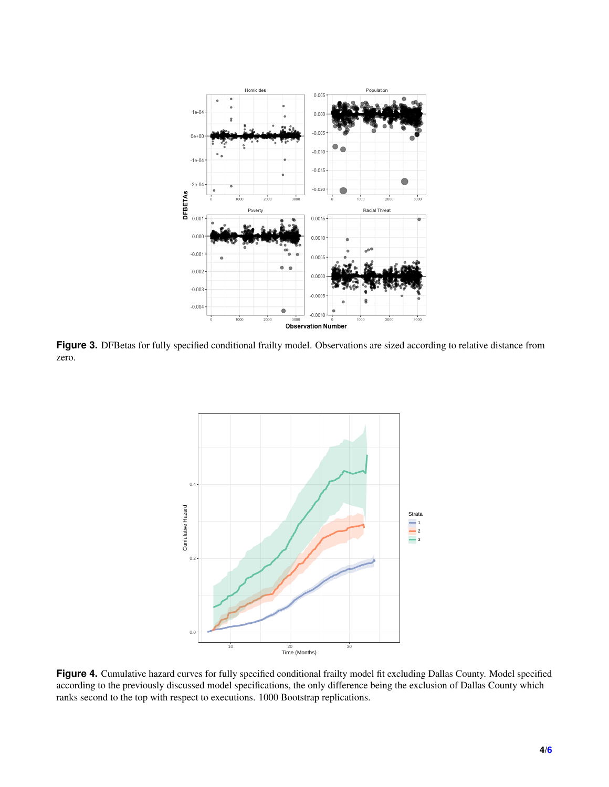<span id="page-3-0"></span>

<span id="page-3-1"></span>Figure 3. DFBetas for fully specified conditional frailty model. Observations are sized according to relative distance from zero.



Figure 4. Cumulative hazard curves for fully specified conditional frailty model fit excluding Dallas County. Model specified according to the previously discussed model specifications, the only difference being the exclusion of Dallas County which ranks second to the top with respect to executions. 1000 Bootstrap replications.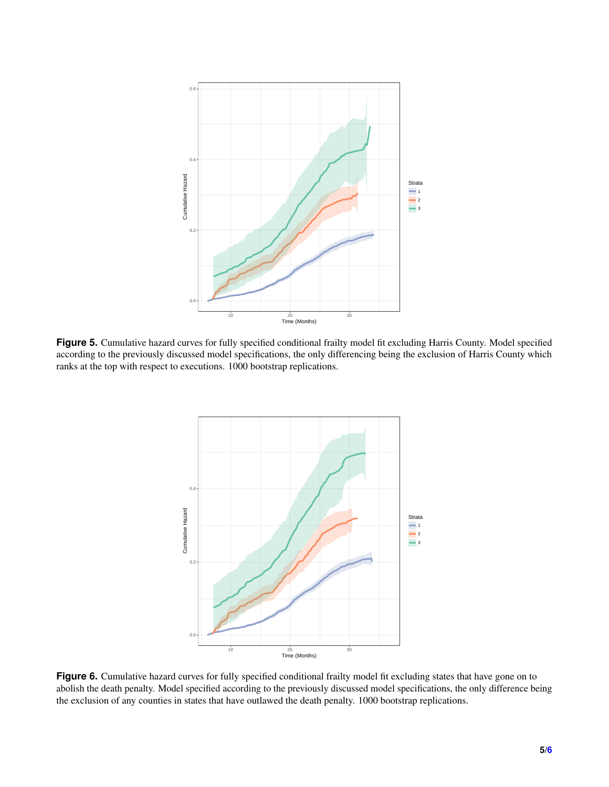<span id="page-4-0"></span>

<span id="page-4-1"></span>**Figure 5.** Cumulative hazard curves for fully specified conditional frailty model fit excluding Harris County. Model specified according to the previously discussed model specifications, the only differencing being the exclusion of Harris County which ranks at the top with respect to executions. 1000 bootstrap replications.



**Figure 6.** Cumulative hazard curves for fully specified conditional frailty model fit excluding states that have gone on to abolish the death penalty. Model specified according to the previously discussed model specifications, the only difference being the exclusion of any counties in states that have outlawed the death penalty. 1000 bootstrap replications.